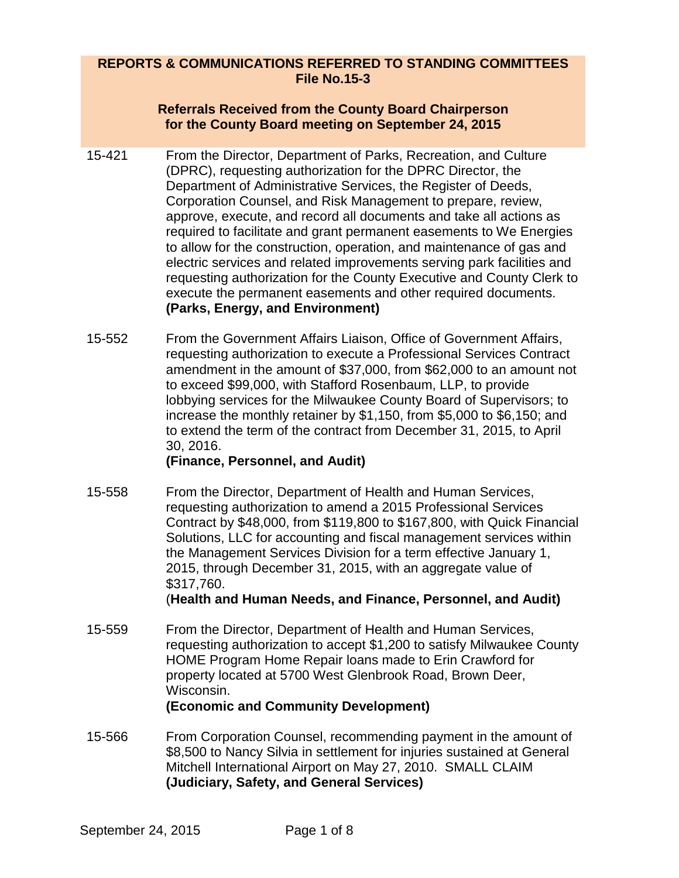## **REPORTS & COMMUNICATIONS REFERRED TO STANDING COMMITTEES File No.15-3**

#### **Referrals Received from the County Board Chairperson for the County Board meeting on September 24, 2015**

- 15-421 From the Director, Department of Parks, Recreation, and Culture (DPRC), requesting authorization for the DPRC Director, the Department of Administrative Services, the Register of Deeds, Corporation Counsel, and Risk Management to prepare, review, approve, execute, and record all documents and take all actions as required to facilitate and grant permanent easements to We Energies to allow for the construction, operation, and maintenance of gas and electric services and related improvements serving park facilities and requesting authorization for the County Executive and County Clerk to execute the permanent easements and other required documents. **(Parks, Energy, and Environment)**
- 15-552 From the Government Affairs Liaison, Office of Government Affairs, requesting authorization to execute a Professional Services Contract amendment in the amount of \$37,000, from \$62,000 to an amount not to exceed \$99,000, with Stafford Rosenbaum, LLP, to provide lobbying services for the Milwaukee County Board of Supervisors; to increase the monthly retainer by \$1,150, from \$5,000 to \$6,150; and to extend the term of the contract from December 31, 2015, to April 30, 2016.

#### **(Finance, Personnel, and Audit)**

15-558 From the Director, Department of Health and Human Services, requesting authorization to amend a 2015 Professional Services Contract by \$48,000, from \$119,800 to \$167,800, with Quick Financial Solutions, LLC for accounting and fiscal management services within the Management Services Division for a term effective January 1, 2015, through December 31, 2015, with an aggregate value of \$317,760.

(**Health and Human Needs, and Finance, Personnel, and Audit)**

- 15-559 From the Director, Department of Health and Human Services, requesting authorization to accept \$1,200 to satisfy Milwaukee County HOME Program Home Repair loans made to Erin Crawford for property located at 5700 West Glenbrook Road, Brown Deer, Wisconsin. **(Economic and Community Development)**
- 15-566 From Corporation Counsel, recommending payment in the amount of \$8,500 to Nancy Silvia in settlement for injuries sustained at General Mitchell International Airport on May 27, 2010. SMALL CLAIM **(Judiciary, Safety, and General Services)**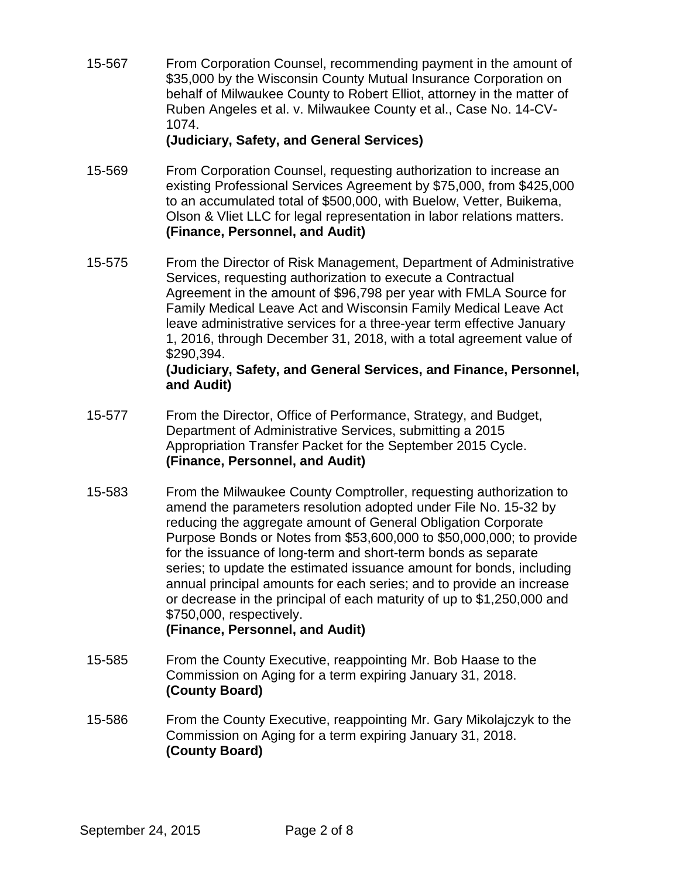15-567 From Corporation Counsel, recommending payment in the amount of \$35,000 by the Wisconsin County Mutual Insurance Corporation on behalf of Milwaukee County to Robert Elliot, attorney in the matter of Ruben Angeles et al. v. Milwaukee County et al., Case No. 14-CV-1074.

#### **(Judiciary, Safety, and General Services)**

- 15-569 From Corporation Counsel, requesting authorization to increase an existing Professional Services Agreement by \$75,000, from \$425,000 to an accumulated total of \$500,000, with Buelow, Vetter, Buikema, Olson & Vliet LLC for legal representation in labor relations matters. **(Finance, Personnel, and Audit)**
- 15-575 From the Director of Risk Management, Department of Administrative Services, requesting authorization to execute a Contractual Agreement in the amount of \$96,798 per year with FMLA Source for Family Medical Leave Act and Wisconsin Family Medical Leave Act leave administrative services for a three-year term effective January 1, 2016, through December 31, 2018, with a total agreement value of \$290,394.

#### **(Judiciary, Safety, and General Services, and Finance, Personnel, and Audit)**

- 15-577 From the Director, Office of Performance, Strategy, and Budget, Department of Administrative Services, submitting a 2015 Appropriation Transfer Packet for the September 2015 Cycle. **(Finance, Personnel, and Audit)**
- 15-583 From the Milwaukee County Comptroller, requesting authorization to amend the parameters resolution adopted under File No. 15-32 by reducing the aggregate amount of General Obligation Corporate Purpose Bonds or Notes from \$53,600,000 to \$50,000,000; to provide for the issuance of long-term and short-term bonds as separate series; to update the estimated issuance amount for bonds, including annual principal amounts for each series; and to provide an increase or decrease in the principal of each maturity of up to \$1,250,000 and \$750,000, respectively.

#### **(Finance, Personnel, and Audit)**

- 15-585 From the County Executive, reappointing Mr. Bob Haase to the Commission on Aging for a term expiring January 31, 2018. **(County Board)**
- 15-586 From the County Executive, reappointing Mr. Gary Mikolajczyk to the Commission on Aging for a term expiring January 31, 2018. **(County Board)**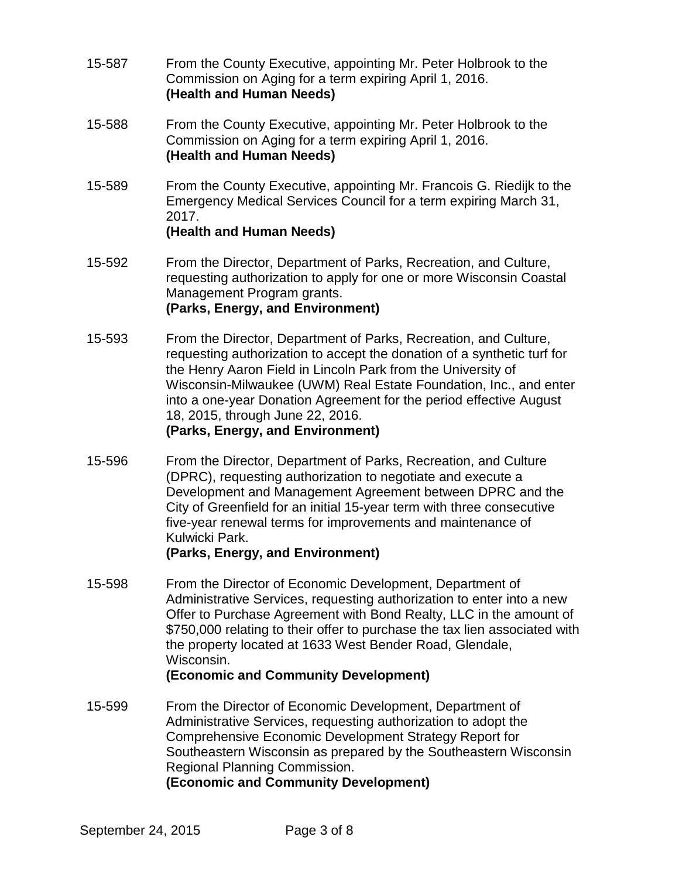- 15-587 From the County Executive, appointing Mr. Peter Holbrook to the Commission on Aging for a term expiring April 1, 2016. **(Health and Human Needs)**
- 15-588 From the County Executive, appointing Mr. Peter Holbrook to the Commission on Aging for a term expiring April 1, 2016. **(Health and Human Needs)**
- 15-589 From the County Executive, appointing Mr. Francois G. Riedijk to the Emergency Medical Services Council for a term expiring March 31, 2017. **(Health and Human Needs)**
- 15-592 From the Director, Department of Parks, Recreation, and Culture, requesting authorization to apply for one or more Wisconsin Coastal Management Program grants. **(Parks, Energy, and Environment)**
- 15-593 From the Director, Department of Parks, Recreation, and Culture, requesting authorization to accept the donation of a synthetic turf for the Henry Aaron Field in Lincoln Park from the University of Wisconsin-Milwaukee (UWM) Real Estate Foundation, Inc., and enter into a one-year Donation Agreement for the period effective August 18, 2015, through June 22, 2016.

#### **(Parks, Energy, and Environment)**

15-596 From the Director, Department of Parks, Recreation, and Culture (DPRC), requesting authorization to negotiate and execute a Development and Management Agreement between DPRC and the City of Greenfield for an initial 15-year term with three consecutive five-year renewal terms for improvements and maintenance of Kulwicki Park.

# **(Parks, Energy, and Environment)**

15-598 From the Director of Economic Development, Department of Administrative Services, requesting authorization to enter into a new Offer to Purchase Agreement with Bond Realty, LLC in the amount of \$750,000 relating to their offer to purchase the tax lien associated with the property located at 1633 West Bender Road, Glendale, Wisconsin.

# **(Economic and Community Development)**

15-599 From the Director of Economic Development, Department of Administrative Services, requesting authorization to adopt the Comprehensive Economic Development Strategy Report for Southeastern Wisconsin as prepared by the Southeastern Wisconsin Regional Planning Commission. **(Economic and Community Development)**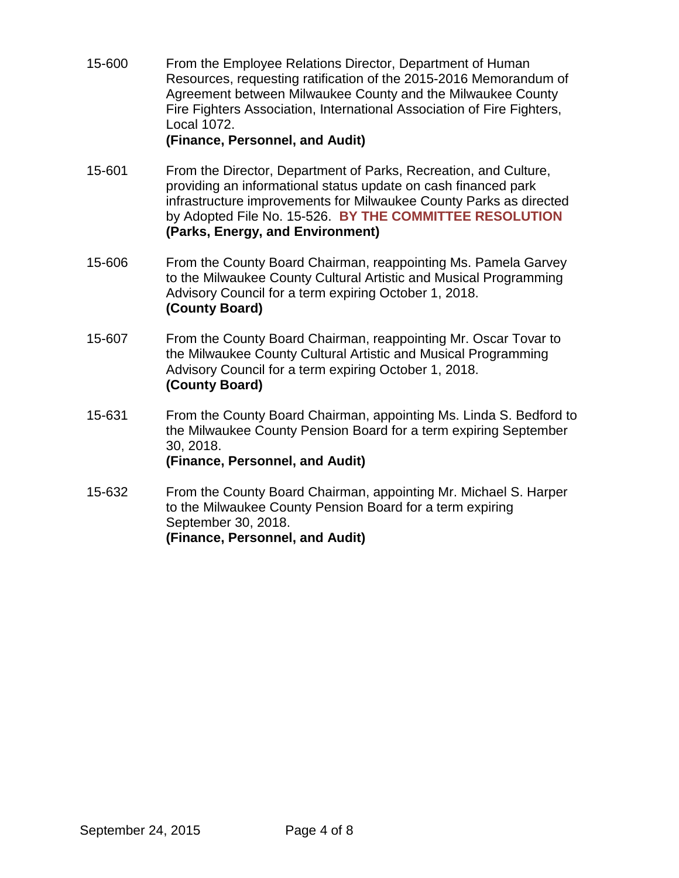15-600 From the Employee Relations Director, Department of Human Resources, requesting ratification of the 2015-2016 Memorandum of Agreement between Milwaukee County and the Milwaukee County Fire Fighters Association, International Association of Fire Fighters, Local 1072.

## **(Finance, Personnel, and Audit)**

- 15-601 From the Director, Department of Parks, Recreation, and Culture, providing an informational status update on cash financed park infrastructure improvements for Milwaukee County Parks as directed by Adopted File No. 15-526. **BY THE COMMITTEE RESOLUTION (Parks, Energy, and Environment)**
- 15-606 From the County Board Chairman, reappointing Ms. Pamela Garvey to the Milwaukee County Cultural Artistic and Musical Programming Advisory Council for a term expiring October 1, 2018. **(County Board)**
- 15-607 From the County Board Chairman, reappointing Mr. Oscar Tovar to the Milwaukee County Cultural Artistic and Musical Programming Advisory Council for a term expiring October 1, 2018. **(County Board)**
- 15-631 From the County Board Chairman, appointing Ms. Linda S. Bedford to the Milwaukee County Pension Board for a term expiring September 30, 2018. **(Finance, Personnel, and Audit)**
- 15-632 From the County Board Chairman, appointing Mr. Michael S. Harper to the Milwaukee County Pension Board for a term expiring September 30, 2018. **(Finance, Personnel, and Audit)**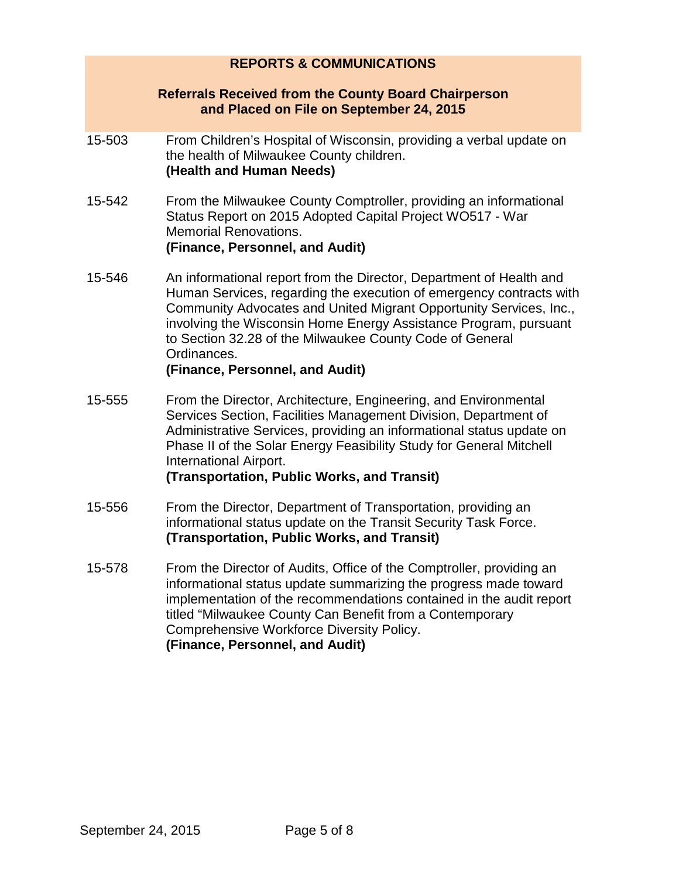#### **REPORTS & COMMUNICATIONS**

#### **Referrals Received from the County Board Chairperson and Placed on File on September 24, 2015**

- 15-503 From Children's Hospital of Wisconsin, providing a verbal update on the health of Milwaukee County children. **(Health and Human Needs)**
- 15-542 From the Milwaukee County Comptroller, providing an informational Status Report on 2015 Adopted Capital Project WO517 - War Memorial Renovations. **(Finance, Personnel, and Audit)**
- 15-546 An informational report from the Director, Department of Health and Human Services, regarding the execution of emergency contracts with Community Advocates and United Migrant Opportunity Services, Inc., involving the Wisconsin Home Energy Assistance Program, pursuant to Section 32.28 of the Milwaukee County Code of General Ordinances.

#### **(Finance, Personnel, and Audit)**

15-555 From the Director, Architecture, Engineering, and Environmental Services Section, Facilities Management Division, Department of Administrative Services, providing an informational status update on Phase II of the Solar Energy Feasibility Study for General Mitchell International Airport.

#### **(Transportation, Public Works, and Transit)**

- 15-556 From the Director, Department of Transportation, providing an informational status update on the Transit Security Task Force. **(Transportation, Public Works, and Transit)**
- 15-578 From the Director of Audits, Office of the Comptroller, providing an informational status update summarizing the progress made toward implementation of the recommendations contained in the audit report titled "Milwaukee County Can Benefit from a Contemporary Comprehensive Workforce Diversity Policy. **(Finance, Personnel, and Audit)**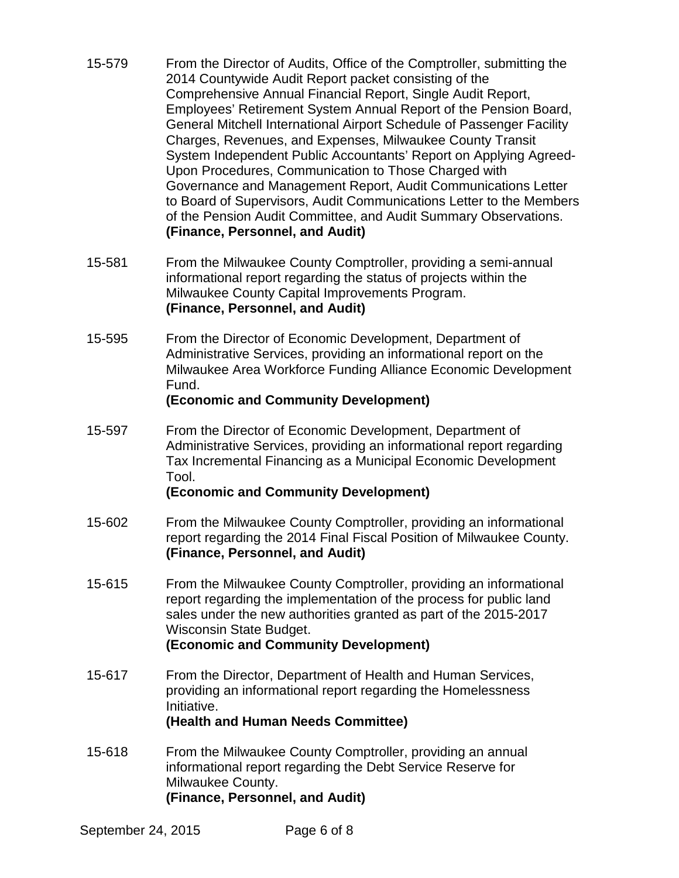- 15-579 From the Director of Audits, Office of the Comptroller, submitting the 2014 Countywide Audit Report packet consisting of the Comprehensive Annual Financial Report, Single Audit Report, Employees' Retirement System Annual Report of the Pension Board, General Mitchell International Airport Schedule of Passenger Facility Charges, Revenues, and Expenses, Milwaukee County Transit System Independent Public Accountants' Report on Applying Agreed-Upon Procedures, Communication to Those Charged with Governance and Management Report, Audit Communications Letter to Board of Supervisors, Audit Communications Letter to the Members of the Pension Audit Committee, and Audit Summary Observations. **(Finance, Personnel, and Audit)**
- 15-581 From the Milwaukee County Comptroller, providing a semi-annual informational report regarding the status of projects within the Milwaukee County Capital Improvements Program. **(Finance, Personnel, and Audit)**
- 15-595 From the Director of Economic Development, Department of Administrative Services, providing an informational report on the Milwaukee Area Workforce Funding Alliance Economic Development Fund.

#### **(Economic and Community Development)**

15-597 From the Director of Economic Development, Department of Administrative Services, providing an informational report regarding Tax Incremental Financing as a Municipal Economic Development Tool.

#### **(Economic and Community Development)**

- 15-602 From the Milwaukee County Comptroller, providing an informational report regarding the 2014 Final Fiscal Position of Milwaukee County. **(Finance, Personnel, and Audit)**
- 15-615 From the Milwaukee County Comptroller, providing an informational report regarding the implementation of the process for public land sales under the new authorities granted as part of the 2015-2017 Wisconsin State Budget. **(Economic and Community Development)**
- 15-617 From the Director, Department of Health and Human Services, providing an informational report regarding the Homelessness Initiative.

#### **(Health and Human Needs Committee)**

15-618 From the Milwaukee County Comptroller, providing an annual informational report regarding the Debt Service Reserve for Milwaukee County. **(Finance, Personnel, and Audit)**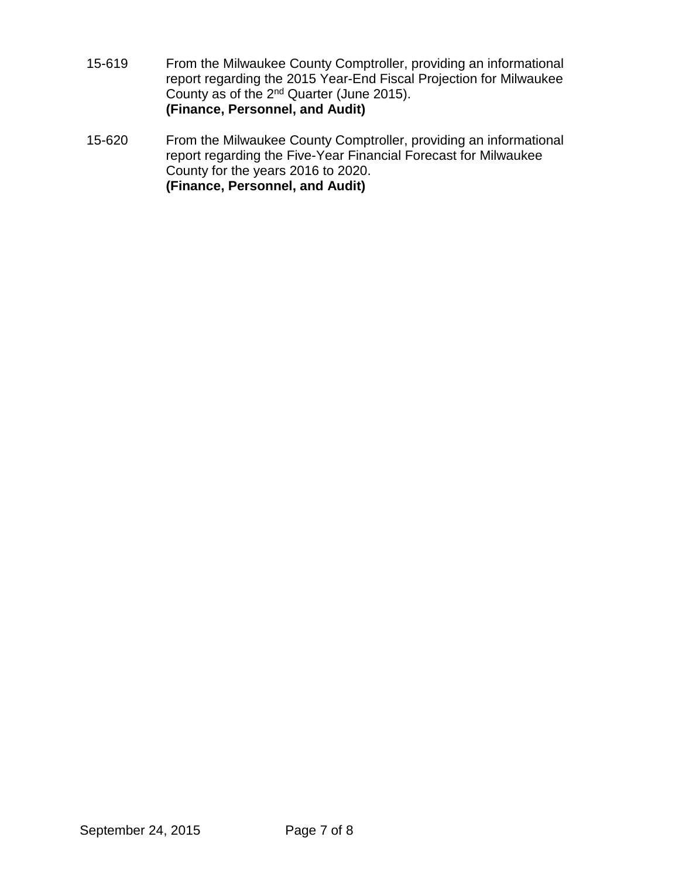- 15-619 From the Milwaukee County Comptroller, providing an informational report regarding the 2015 Year-End Fiscal Projection for Milwaukee County as of the 2nd Quarter (June 2015). **(Finance, Personnel, and Audit)**
- 15-620 From the Milwaukee County Comptroller, providing an informational report regarding the Five-Year Financial Forecast for Milwaukee County for the years 2016 to 2020. **(Finance, Personnel, and Audit)**